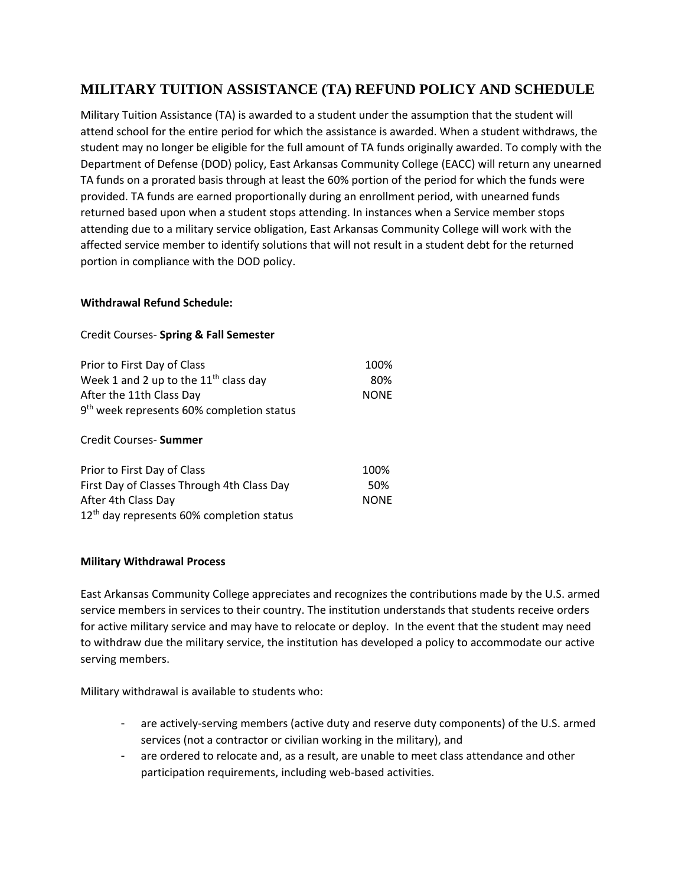## **MILITARY TUITION ASSISTANCE (TA) REFUND POLICY AND SCHEDULE**

Military Tuition Assistance (TA) is awarded to a student under the assumption that the student will attend school for the entire period for which the assistance is awarded. When a student withdraws, the student may no longer be eligible for the full amount of TA funds originally awarded. To comply with the Department of Defense (DOD) policy, East Arkansas Community College (EACC) will return any unearned TA funds on a prorated basis through at least the 60% portion of the period for which the funds were provided. TA funds are earned proportionally during an enrollment period, with unearned funds returned based upon when a student stops attending. In instances when a Service member stops attending due to a military service obligation, East Arkansas Community College will work with the affected service member to identify solutions that will not result in a student debt for the returned portion in compliance with the DOD policy.

## **Withdrawal Refund Schedule:**

## Credit Courses- **Spring & Fall Semester**

| Prior to First Day of Class<br>Week 1 and 2 up to the $11th$ class day<br>After the 11th Class Day<br>9 <sup>th</sup> week represents 60% completion status | 100%<br>80%<br><b>NONE</b> |
|-------------------------------------------------------------------------------------------------------------------------------------------------------------|----------------------------|
| Credit Courses- Summer                                                                                                                                      |                            |
| Prior to First Day of Class                                                                                                                                 | 100%                       |
| First Day of Classes Through 4th Class Day                                                                                                                  | 50%                        |
| After 4th Class Day                                                                                                                                         | <b>NONE</b>                |

## **Military Withdrawal Process**

12<sup>th</sup> day represents 60% completion status

East Arkansas Community College appreciates and recognizes the contributions made by the U.S. armed service members in services to their country. The institution understands that students receive orders for active military service and may have to relocate or deploy. In the event that the student may need to withdraw due the military service, the institution has developed a policy to accommodate our active serving members.

Military withdrawal is available to students who:

- are actively-serving members (active duty and reserve duty components) of the U.S. armed services (not a contractor or civilian working in the military), and
- are ordered to relocate and, as a result, are unable to meet class attendance and other participation requirements, including web-based activities.